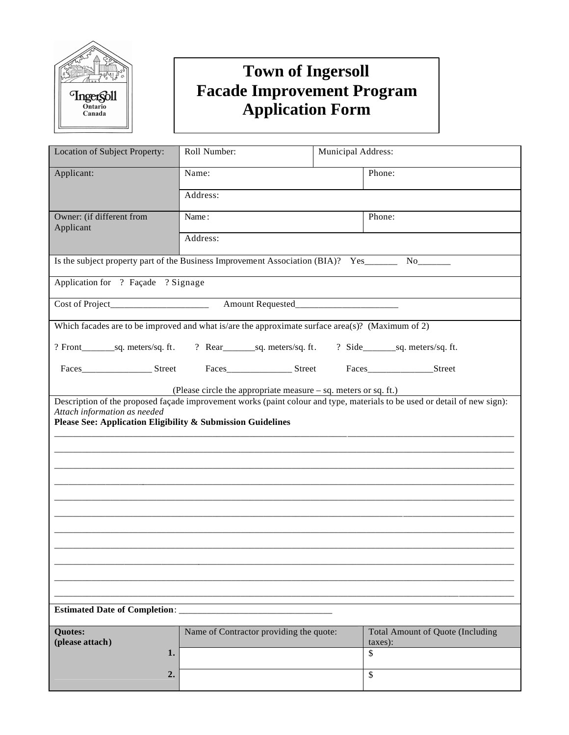

## **Town of Ingersoll Facade Improvement Program Application Form**

| Location of Subject Property:                                                                                                                                                                                                                                    | Roll Number:<br>Municipal Address:      |  |                                                    |  |
|------------------------------------------------------------------------------------------------------------------------------------------------------------------------------------------------------------------------------------------------------------------|-----------------------------------------|--|----------------------------------------------------|--|
| Applicant:                                                                                                                                                                                                                                                       | Name:                                   |  | Phone:                                             |  |
|                                                                                                                                                                                                                                                                  | Address:                                |  |                                                    |  |
| Owner: (if different from<br>Applicant                                                                                                                                                                                                                           | Name:                                   |  | Phone:                                             |  |
|                                                                                                                                                                                                                                                                  | Address:                                |  |                                                    |  |
| Is the subject property part of the Business Improvement Association (BIA)? Yes_________ No_______                                                                                                                                                               |                                         |  |                                                    |  |
| Application for ? Façade ? Signage                                                                                                                                                                                                                               |                                         |  |                                                    |  |
|                                                                                                                                                                                                                                                                  |                                         |  |                                                    |  |
| Which facades are to be improved and what is/are the approximate surface area(s)? (Maximum of 2)                                                                                                                                                                 |                                         |  |                                                    |  |
|                                                                                                                                                                                                                                                                  |                                         |  |                                                    |  |
|                                                                                                                                                                                                                                                                  |                                         |  |                                                    |  |
| (Please circle the appropriate measure – sq. meters or sq. ft.)                                                                                                                                                                                                  |                                         |  |                                                    |  |
| Description of the proposed façade improvement works (paint colour and type, materials to be used or detail of new sign):<br>Attach information as needed<br>Please See: Application Eligibility & Submission Guidelines<br><b>Estimated Date of Completion:</b> |                                         |  |                                                    |  |
|                                                                                                                                                                                                                                                                  |                                         |  |                                                    |  |
| <b>Quotes:</b><br>(please attach)                                                                                                                                                                                                                                | Name of Contractor providing the quote: |  | <b>Total Amount of Quote (Including</b><br>taxes): |  |
| 1.                                                                                                                                                                                                                                                               |                                         |  | \$                                                 |  |
| 2.                                                                                                                                                                                                                                                               |                                         |  | \$                                                 |  |